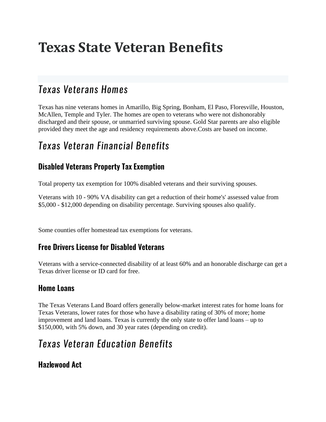# **Texas State Veteran Benefits**

# Texas Veterans Homes

Texas has nine veterans homes in Amarillo, Big Spring, Bonham, El Paso, Floresville, Houston, McAllen, Temple and Tyler. The homes are open to veterans who were not dishonorably discharged and their spouse, or unmarried surviving spouse. Gold Star parents are also eligible provided they meet the age and residency requirements above.Costs are based on income.

# Texas Veteran Financial Benefits

### **Disabled Veterans Property Tax Exemption**

Total property tax exemption for 100% disabled veterans and their surviving spouses.

Veterans with 10 - 90% VA disability can get a reduction of their home's' assessed value from \$5,000 - \$12,000 depending on disability percentage. Surviving spouses also qualify.

Some counties offer homestead tax exemptions for veterans.

#### **Free Drivers License for Disabled Veterans**

Veterans with a service-connected disability of at least 60% and an honorable discharge can get a Texas driver license or ID card for free.

#### **Home Loans**

The Texas Veterans Land Board offers generally below-market interest rates for home loans for Texas Veterans, lower rates for those who have a disability rating of 30% of more; home improvement and land loans. Texas is currently the only state to offer land loans – up to \$150,000, with 5% down, and 30 year rates (depending on credit).

# Texas Veteran Education Benefits

**Hazlewood Act**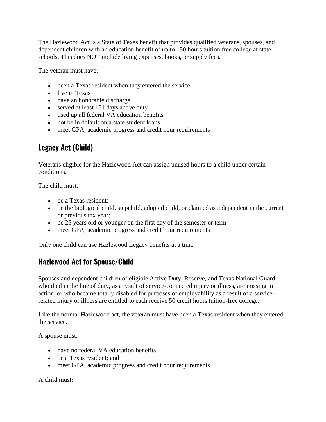The Hazlewood Act is a State of Texas benefit that provides qualified veterans, spouses, and dependent children with an education benefit of up to 150 hours tuition free college at state schools. This does NOT include living expenses, books, or supply fees.

The veteran must have:

- been a Texas resident when they entered the service
- live in Texas
- have an honorable discharge
- served at least 181 days active duty
- used up all federal VA education benefits
- not be in default on a state student loans
- meet GPA, academic progress and credit hour requirements

### **Legacy Act (Child)**

Veterans eligible for the Hazlewood Act can assign unused hours to a child under certain conditions.

The child must:

- be a Texas resident:
- be the biological child, stepchild, adopted child, or claimed as a dependent in the current or previous tax year;
- be 25 years old or younger on the first day of the semester or term
- meet GPA, academic progress and credit hour requirements

Only one child can use Hazlewood Legacy benefits at a time.

#### **Hazlewood Act for Spouse/Child**

Spouses and dependent children of eligible Active Duty, Reserve, and Texas National Guard who died in the line of duty, as a result of service-connected injury or illness, are missing in action, or who became totally disabled for purposes of employability as a result of a servicerelated injury or illness are entitled to each receive 50 credit hours tuition-free college.

Like the normal Hazlewood act, the veteran must have been a Texas resident when they entered the service.

A spouse must:

- have no federal VA education benefits
- be a Texas resident; and
- meet GPA, academic progress and credit hour requirements

A child must: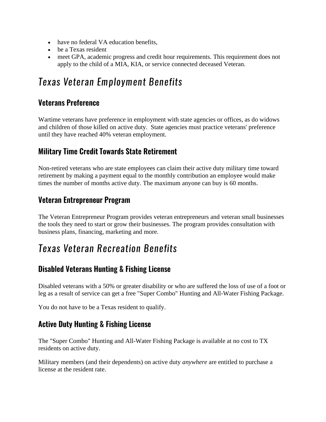- have no federal VA education benefits,
- be a Texas resident
- meet GPA, academic progress and credit hour requirements. This requirement does not apply to the child of a MIA, KIA, or service connected deceased Veteran.

## Texas Veteran Employment Benefits

### **Veterans Preference**

Wartime veterans have preference in employment with state agencies or offices, as do widows and children of those killed on active duty. State agencies must practice veterans' preference until they have reached 40% veteran employment.

### **Military Time Credit Towards State Retirement**

Non-retired veterans who are state employees can claim their active duty military time toward retirement by making a payment equal to the monthly contribution an employee would make times the number of months active duty. The maximum anyone can buy is 60 months.

### Veteran Entrepreneur Program

The Veteran Entrepreneur Program provides veteran entrepreneurs and veteran small businesses the tools they need to start or grow their businesses. The program provides consultation with business plans, financing, marketing and more.

# Texas Veteran Recreation Benefits

### **Disabled Veterans Hunting & Fishing License**

Disabled veterans with a 50% or greater disability or who are suffered the loss of use of a foot or leg as a result of service can get a free "Super Combo" Hunting and All-Water Fishing Package.

You do not have to be a Texas resident to qualify.

#### **Active Duty Hunting & Fishing License**

The "Super Combo" Hunting and All-Water Fishing Package is available at no cost to TX residents on active duty.

Military members (and their dependents) on active duty *anywhere* are entitled to purchase a license at the resident rate.